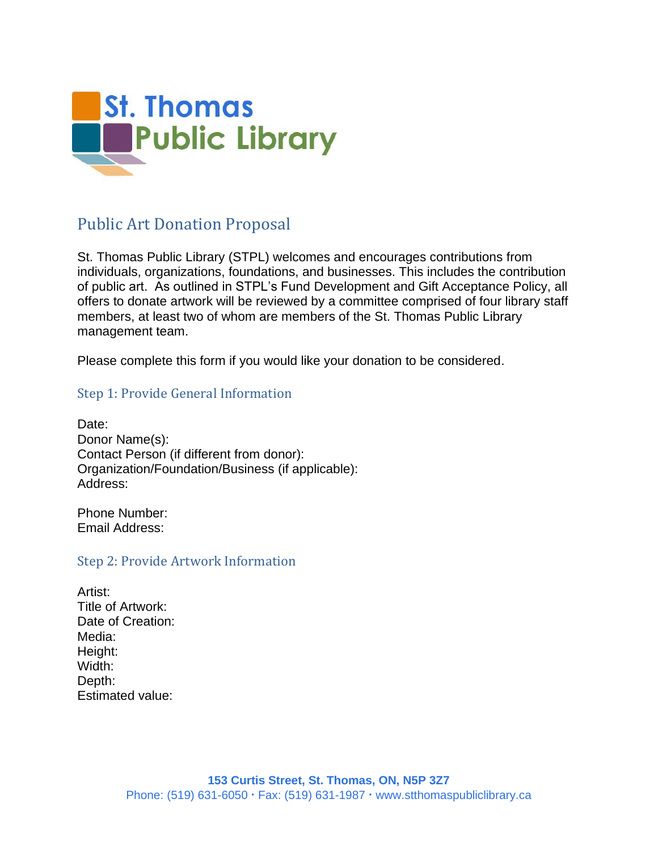

# Public Art Donation Proposal

St. Thomas Public Library (STPL) welcomes and encourages contributions from individuals, organizations, foundations, and businesses. This includes the contribution of public art. As outlined in STPL's Fund Development and Gift Acceptance Policy, all offers to donate artwork will be reviewed by a committee comprised of four library staff members, at least two of whom are members of the St. Thomas Public Library management team.

Please complete this form if you would like your donation to be considered.

### Step 1: Provide General Information

Date: Donor Name(s): Contact Person (if different from donor): Organization/Foundation/Business (if applicable): Address:

Phone Number: Email Address:

#### Step 2: Provide Artwork Information

Artist: Title of Artwork: Date of Creation: Media: Height: Width: Depth: Estimated value: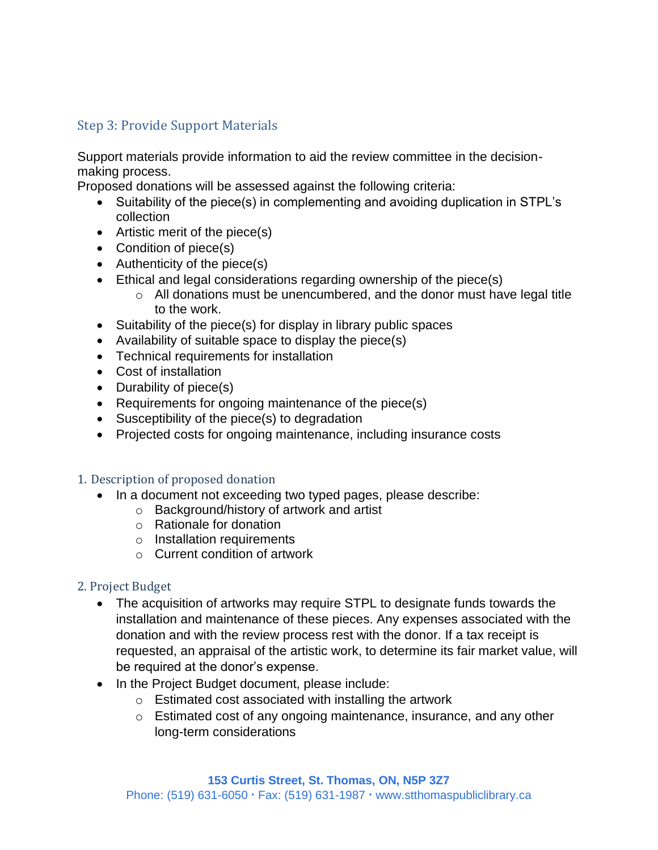## Step 3: Provide Support Materials

Support materials provide information to aid the review committee in the decisionmaking process.

Proposed donations will be assessed against the following criteria:

- Suitability of the piece(s) in complementing and avoiding duplication in STPL's collection
- Artistic merit of the piece(s)
- Condition of piece(s)
- Authenticity of the piece(s)
- Ethical and legal considerations regarding ownership of the piece(s)
	- o All donations must be unencumbered, and the donor must have legal title to the work.
- Suitability of the piece(s) for display in library public spaces
- Availability of suitable space to display the piece(s)
- Technical requirements for installation
- Cost of installation
- Durability of piece(s)
- Requirements for ongoing maintenance of the piece(s)
- Susceptibility of the piece(s) to degradation
- Projected costs for ongoing maintenance, including insurance costs

#### 1. Description of proposed donation

- In a document not exceeding two typed pages, please describe:
	- o Background/history of artwork and artist
		- o Rationale for donation
		- o Installation requirements
	- $\circ$  Current condition of artwork

#### 2. Project Budget

- The acquisition of artworks may require STPL to designate funds towards the installation and maintenance of these pieces. Any expenses associated with the donation and with the review process rest with the donor. If a tax receipt is requested, an appraisal of the artistic work, to determine its fair market value, will be required at the donor's expense.
- In the Project Budget document, please include:
	- o Estimated cost associated with installing the artwork
	- o Estimated cost of any ongoing maintenance, insurance, and any other long-term considerations